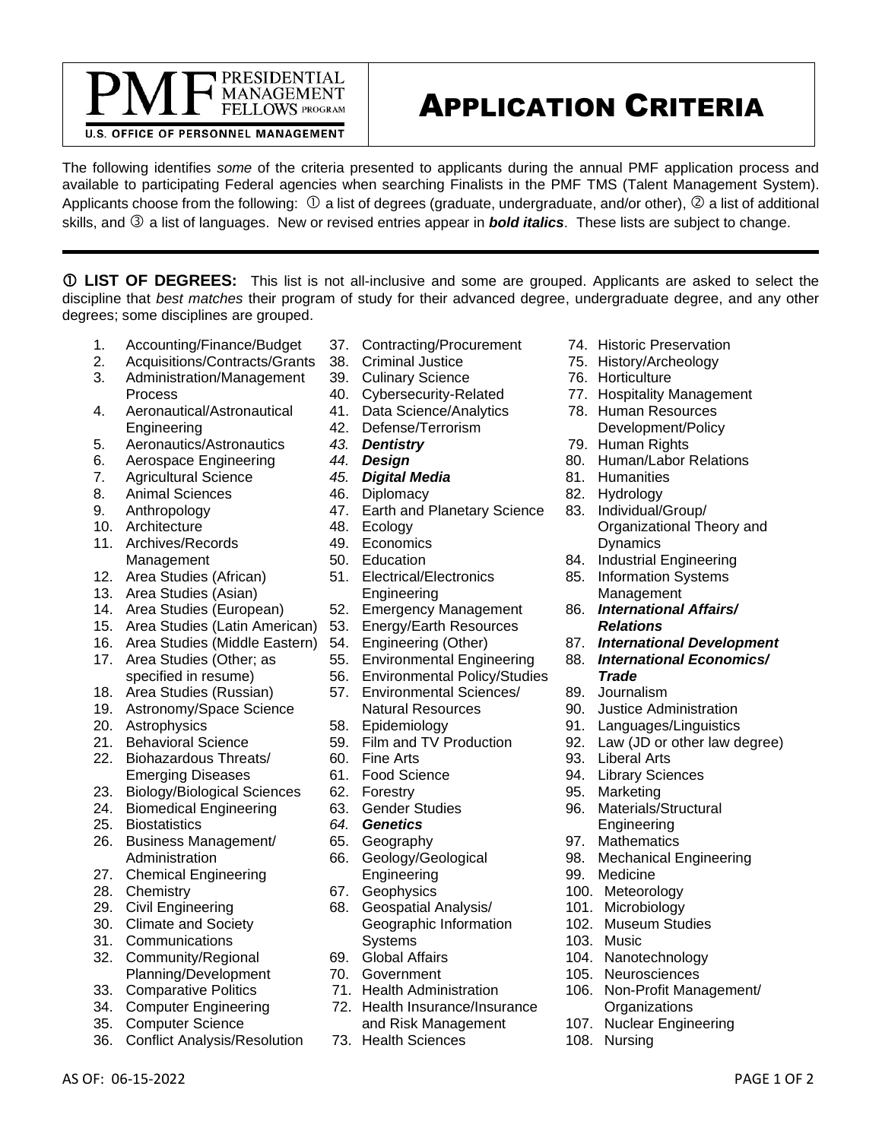## APPLICATION CRITERIA

**U.S. OFFICE OF PERSONNEL MANAGEMENT** 

PRESIDENTIAL **MANAGEMENT** FELLOWS PROGRAM

The following identifies *some* of the criteria presented to applicants during the annual PMF application process and available to participating Federal agencies when searching Finalists in the PMF TMS (Talent Management System). Applicants choose from the following:  $\Omega$  a list of degrees (graduate, undergraduate, and/or other),  $\Omega$  a list of additional skills, and <sup>3</sup> a list of languages. New or revised entries appear in **bold italics**. These lists are subject to change.

 **LIST OF DEGREES:** This list is not all-inclusive and some are grouped. Applicants are asked to select the discipline that *best matches* their program of study for their advanced degree, undergraduate degree, and any other degrees; some disciplines are grouped.

- 1. Accounting/Finance/Budget
- 2. Acquisitions/Contracts/Grants
- 3. Administration/Management Process
- 4. Aeronautical/Astronautical Engineering
- 5. Aeronautics/Astronautics
- 6. Aerospace Engineering
- 7. Agricultural Science
- 8. Animal Sciences
- 9. Anthropology
- 10. Architecture
- 11. Archives/Records Management
- 12. Area Studies (African)
- 13. Area Studies (Asian)
- 14. Area Studies (European)
- 15. Area Studies (Latin American)
- 16. Area Studies (Middle Eastern)
- 17. Area Studies (Other; as specified in resume)
- 18. Area Studies (Russian)
- 19. Astronomy/Space Science
- 20. Astrophysics
- 21. Behavioral Science
- 22. Biohazardous Threats/ Emerging Diseases
- 23. Biology/Biological Sciences
- 24. Biomedical Engineering
- 25. Biostatistics
- 26. Business Management/ **Administration**
- 27. Chemical Engineering
- 28. Chemistry
- 29. Civil Engineering
- 30. Climate and Society
- 31. Communications
- 32. Community/Regional Planning/Development
- 33. Comparative Politics
- 34. Computer Engineering
- 35. Computer Science
- 36. Conflict Analysis/Resolution
- 37. Contracting/Procurement
- 38. Criminal Justice
- 39. Culinary Science
- 40. Cybersecurity-Related
- 41. Data Science/Analytics
- 42. Defense/Terrorism
- *43. Dentistry*
- *44. Design*
- *45. Digital Media*
- 46. Diplomacy
- 47. Earth and Planetary Science
- 48. Ecology
- 49. Economics
- 50. Education
- 51. Electrical/Electronics Engineering
- 52. Emergency Management
- 53. Energy/Earth Resources
- 54. Engineering (Other)
- 55. Environmental Engineering
- 56. Environmental Policy/Studies
- 57. Environmental Sciences/ Natural Resources
- 58. Epidemiology
- 59. Film and TV Production
- 60. Fine Arts
- 61. Food Science
- 62. Forestry
- 63. Gender Studies
- *64. Genetics*
- 65. Geography
- 66. Geology/Geological Engineering
- 67. Geophysics
- 68. Geospatial Analysis/ Geographic Information Systems
- 69. Global Affairs
- 70. Government
- 71. Health Administration
- 72. Health Insurance/Insurance and Risk Management

AS OF: 06-15-2022 PAGE 1 OF 2

73. Health Sciences

- 74. Historic Preservation
- 75. History/Archeology
- 76. Horticulture
- 77. Hospitality Management
- 78. Human Resources
- Development/Policy
- 79. Human Rights
- 80. Human/Labor Relations
- 81. Humanities
- 82. Hydrology
- 83. Individual/Group/ Organizational Theory and Dynamics
- 84. Industrial Engineering
- 85. Information Systems Management
- 86. *International Affairs/ Relations*
- 87. *International Development*
- 88. *International Economics/ Trade*
- 89. Journalism
- 90. Justice Administration
- 91. Languages/Linguistics
- 92. Law (JD or other law degree)
- 93. Liberal Arts
- 94. Library Sciences

96. Materials/Structural Engineering 97. Mathematics

104. Nanotechnology 105. Neurosciences

98. Mechanical Engineering

106. Non-Profit Management/ **Organizations** 107. Nuclear Engineering

95. Marketing

99. Medicine 100. Meteorology 101. Microbiology 102. Museum Studies

103. Music

108. Nursing